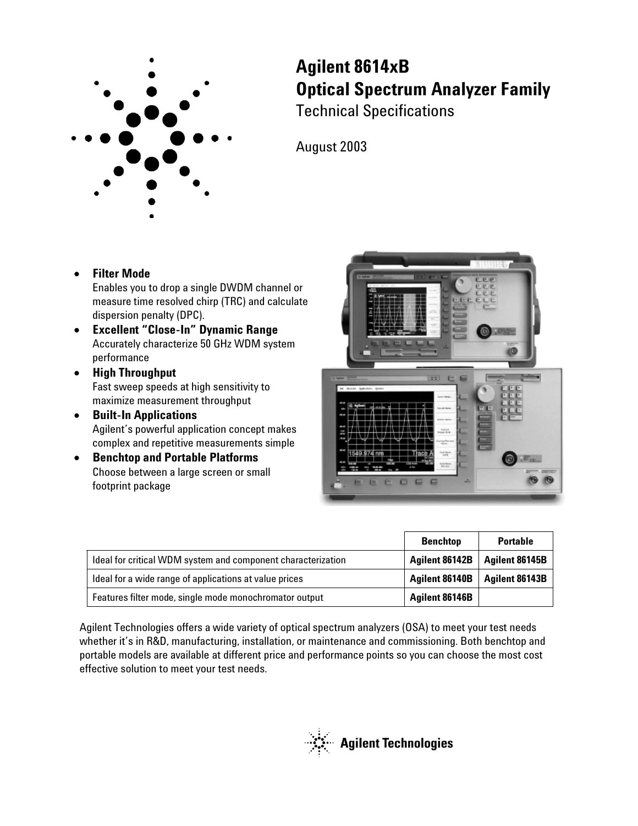

**Agilent 8614xB Optical Spectrum Analyzer Family** Technical Specifications

August 2003

### **Filter Mode**

Enables you to drop a single DWDM channel or measure time resolved chirp (TRC) and calculate dispersion penalty (DPC).

- **Excellent "Close-In" Dynamic Range** Accurately characterize 50 GHz WDM system performance
- **High Throughput** Fast sweep speeds at high sensitivity to maximize measurement throughput
- **Built-In Applications** Agilent's powerful application concept makes complex and repetitive measurements simple
- **Benchtop and Portable Platforms** Choose between a large screen or small footprint package



|                                                              | <b>Benchtop</b> | <b>Portable</b> |
|--------------------------------------------------------------|-----------------|-----------------|
| Ideal for critical WDM system and component characterization | Agilent 86142B  | Agilent 86145B  |
| Ideal for a wide range of applications at value prices       | Agilent 86140B  | Agilent 86143B  |
| Features filter mode, single mode monochromator output       | Agilent 86146B  |                 |

Agilent Technologies offers a wide variety of optical spectrum analyzers (OSA) to meet your test needs whether it's in R&D, manufacturing, installation, or maintenance and commissioning. Both benchtop and portable models are available at different price and performance points so you can choose the most cost effective solution to meet your test needs.

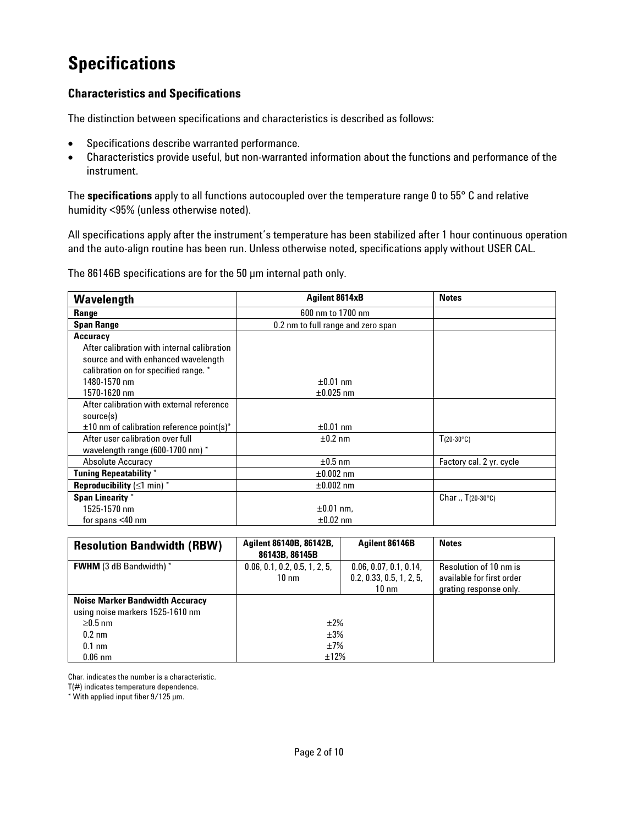## **Specifications**

### **Characteristics and Specifications**

The distinction between specifications and characteristics is described as follows:

- Specifications describe warranted performance.
- Characteristics provide useful, but non-warranted information about the functions and performance of the instrument.

The **specifications** apply to all functions autocoupled over the temperature range 0 to 55° C and relative humidity <95% (unless otherwise noted).

All specifications apply after the instrument's temperature has been stabilized after 1 hour continuous operation and the auto-align routine has been run. Unless otherwise noted, specifications apply without USER CAL.

The 86146B specifications are for the 50 µm internal path only.

| Wavelength                                     | Agilent 8614xB                     | <b>Notes</b>               |
|------------------------------------------------|------------------------------------|----------------------------|
| Range                                          | 600 nm to 1700 nm                  |                            |
| <b>Span Range</b>                              | 0.2 nm to full range and zero span |                            |
| <b>Accuracy</b>                                |                                    |                            |
| After calibration with internal calibration    |                                    |                            |
| source and with enhanced wavelength            |                                    |                            |
| calibration on for specified range. *          |                                    |                            |
| 1480-1570 nm                                   | $\pm 0.01$ nm                      |                            |
| 1570-1620 nm                                   | $\pm 0.025$ nm                     |                            |
| After calibration with external reference      |                                    |                            |
| source(s)                                      |                                    |                            |
| $\pm 10$ nm of calibration reference point(s)* | $\pm 0.01$ nm                      |                            |
| After user calibration over full               | $±0.2$ nm                          | $T(20-30^{\circ}C)$        |
| wavelength range (600-1700 nm) $*$             |                                    |                            |
| <b>Absolute Accuracy</b>                       | $\pm 0.5$ nm                       | Factory cal. 2 yr. cycle   |
| <b>Tuning Repeatability *</b>                  | $\pm 0.002$ nm                     |                            |
| <b>Reproducibility</b> $(\leq)$ min) *         | $\pm 0.002$ nm                     |                            |
| <b>Span Linearity</b> *                        |                                    | Char., $T(20-30^{\circ}C)$ |
| 1525-1570 nm                                   | $\pm 0.01$ nm,                     |                            |
| for spans $<$ 40 nm                            | $\pm 0.02$ nm                      |                            |

| <b>Resolution Bandwidth (RBW)</b>      | Agilent 86140B, 86142B,<br>Agilent 86146B<br>86143B, 86145B |                          | <b>Notes</b>              |
|----------------------------------------|-------------------------------------------------------------|--------------------------|---------------------------|
| <b>FWHM</b> (3 dB Bandwidth) *         | 0.06, 0.1, 0.2, 0.5, 1, 2, 5,                               | 0.06, 0.07, 0.1, 0.14,   | Resolution of 10 nm is    |
|                                        | $10 \text{ nm}$                                             | 0.2, 0.33, 0.5, 1, 2, 5, | available for first order |
|                                        |                                                             | $10 \text{ nm}$          | grating response only.    |
| <b>Noise Marker Bandwidth Accuracy</b> |                                                             |                          |                           |
| using noise markers 1525-1610 nm       |                                                             |                          |                           |
| $\geq$ 0.5 nm                          | ±2%                                                         |                          |                           |
| $0.2 \text{ nm}$                       | ±3%                                                         |                          |                           |
| $0.1 \text{ nm}$                       | ±7%                                                         |                          |                           |
| $0.06$ nm                              | ±12%                                                        |                          |                           |

Char. indicates the number is a characteristic.

T(#) indicates temperature dependence.

\* With applied input fiber 9/125 µm.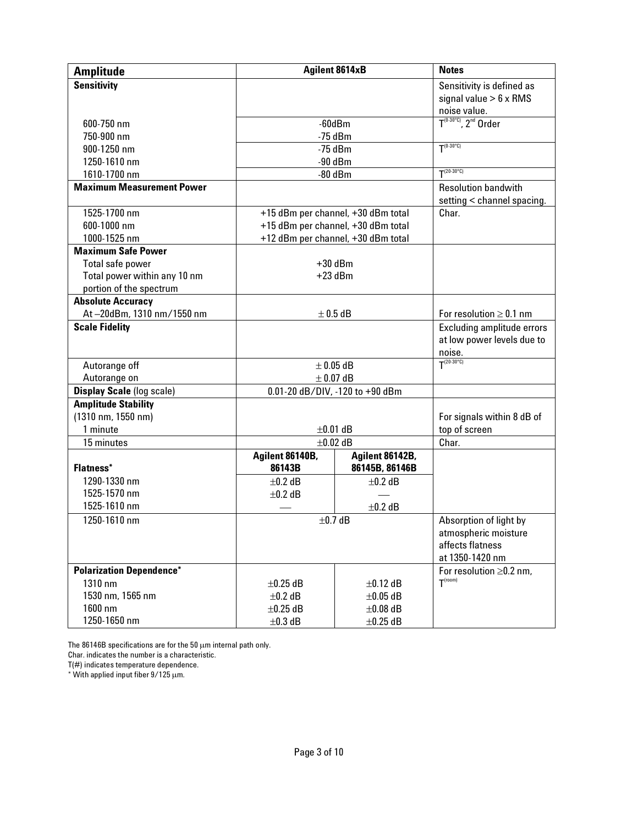| <b>Amplitude</b>                 |                 | <b>Agilent 8614xB</b>              | <b>Notes</b>                                             |
|----------------------------------|-----------------|------------------------------------|----------------------------------------------------------|
| <b>Sensitivity</b>               |                 |                                    | Sensitivity is defined as                                |
|                                  |                 |                                    | signal value $> 6 \times$ RMS                            |
|                                  |                 |                                    | noise value.                                             |
| 600-750 nm                       |                 | $-60$ d $Bm$                       | $T^{(0-30°C)}$ . 2 <sup>nd</sup> Order                   |
| 750-900 nm                       |                 | $-75$ dBm                          | $T^{(0-30°C)}$                                           |
| 900-1250 nm                      |                 | $-75$ dBm                          |                                                          |
| 1250-1610 nm                     |                 | $-90$ dBm                          | $T^{(20-30°C)}$                                          |
| 1610-1700 nm                     |                 | $-80$ dBm                          |                                                          |
| <b>Maximum Measurement Power</b> |                 |                                    | <b>Resolution bandwith</b><br>setting < channel spacing. |
| 1525-1700 nm                     |                 | +15 dBm per channel, +30 dBm total | Char.                                                    |
| 600-1000 nm                      |                 | +15 dBm per channel, +30 dBm total |                                                          |
| 1000-1525 nm                     |                 | +12 dBm per channel, +30 dBm total |                                                          |
| <b>Maximum Safe Power</b>        |                 |                                    |                                                          |
| Total safe power                 |                 | $+30$ dBm                          |                                                          |
| Total power within any 10 nm     |                 | $+23$ dBm                          |                                                          |
| portion of the spectrum          |                 |                                    |                                                          |
| <b>Absolute Accuracy</b>         |                 |                                    |                                                          |
| At-20dBm, 1310 nm/1550 nm        |                 | $\pm$ 0.5 dB                       | For resolution $\geq 0.1$ nm                             |
| <b>Scale Fidelity</b>            |                 |                                    | Excluding amplitude errors                               |
|                                  |                 |                                    | at low power levels due to                               |
|                                  |                 |                                    | noise.                                                   |
| Autorange off                    |                 | $\pm$ 0.05 dB                      | $T^{(20-30°C)}$                                          |
| Autorange on                     |                 | $\pm$ 0.07 dB                      |                                                          |
| <b>Display Scale (log scale)</b> |                 | 0.01-20 dB/DIV, -120 to +90 dBm    |                                                          |
| <b>Amplitude Stability</b>       |                 |                                    |                                                          |
| (1310 nm, 1550 nm)               |                 |                                    | For signals within 8 dB of                               |
| 1 minute                         |                 | $±0.01$ dB                         | top of screen                                            |
| 15 minutes                       |                 | $\pm 0.02$ dB                      | Char.                                                    |
|                                  | Agilent 86140B, | Agilent 86142B,                    |                                                          |
| <b>Flatness*</b>                 | 86143B          | 86145B, 86146B                     |                                                          |
| 1290-1330 nm                     | $±0.2$ dB       | $±0.2$ dB                          |                                                          |
| 1525-1570 nm                     | $\pm 0.2$ dB    |                                    |                                                          |
| 1525-1610 nm                     |                 | $±0.2$ dB                          |                                                          |
| 1250-1610 nm                     | $±0.7$ dB       |                                    | Absorption of light by                                   |
|                                  |                 |                                    | atmospheric moisture                                     |
|                                  |                 |                                    | affects flatness                                         |
|                                  |                 |                                    | at 1350-1420 nm                                          |
| <b>Polarization Dependence*</b>  |                 |                                    | For resolution $\geq$ 0.2 nm.<br>$T^{(room)}$            |
| $1310$ nm                        | $\pm 0.25$ dB   | $\pm 0.12$ dB                      |                                                          |
| 1530 nm, 1565 nm                 | $\pm 0.2$ dB    | $\pm 0.05$ dB                      |                                                          |
| 1600 nm                          | $\pm 0.25$ dB   | $\pm 0.08$ dB                      |                                                          |
| 1250-1650 nm                     | $\pm 0.3$ dB    | $\pm 0.25$ dB                      |                                                          |

The 86146B specifications are for the 50  $\mu$ m internal path only.

Char. indicates the number is a characteristic.

T(#) indicates temperature dependence.

 $^*$  With applied input fiber 9/125  $\mu$ m.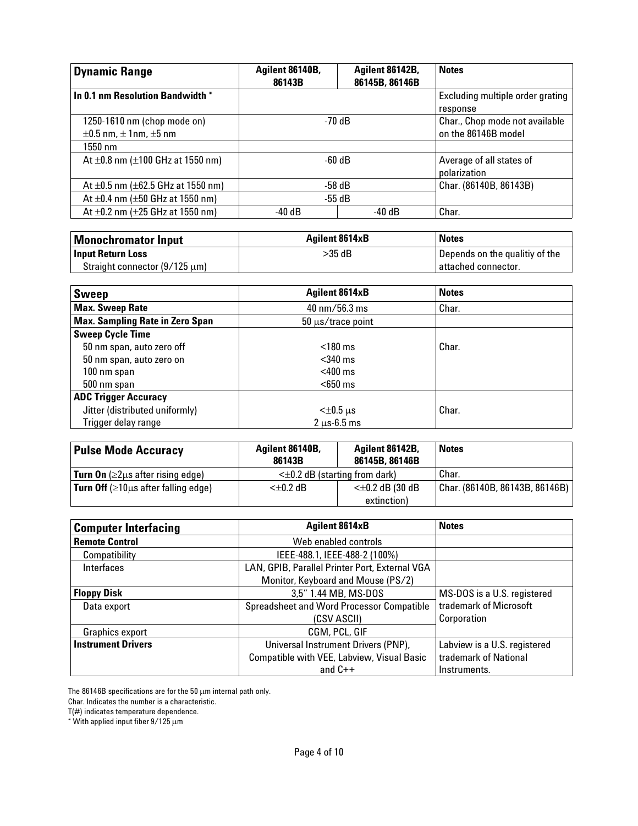| <b>Dynamic Range</b>                                               | Agilent 86140B,<br>86143B | Agilent 86142B,<br>86145B, 86146B | <b>Notes</b>                                          |
|--------------------------------------------------------------------|---------------------------|-----------------------------------|-------------------------------------------------------|
| In 0.1 nm Resolution Bandwidth *                                   |                           |                                   | Excluding multiple order grating<br>response          |
| 1250-1610 nm (chop mode on)<br>$\pm 0.5$ nm, $\pm$ 1nm, $\pm 5$ nm | $-70dB$                   |                                   | Char., Chop mode not available<br>on the 86146B model |
| $1550$ nm                                                          |                           |                                   |                                                       |
| At $\pm 0.8$ nm ( $\pm 100$ GHz at 1550 nm)                        | $-60$ dB                  |                                   | Average of all states of<br>polarization              |
| At $\pm$ 0.5 nm ( $\pm$ 62.5 GHz at 1550 nm)                       | $-58$ dB                  |                                   | Char. (86140B, 86143B)                                |
| At $\pm 0.4$ nm ( $\pm 50$ GHz at 1550 nm)                         | -55 dB                    |                                   |                                                       |
| At $\pm 0.2$ nm ( $\pm 25$ GHz at 1550 nm)                         | $-40$ dB                  | -40 dB                            | Char.                                                 |

| Monochromator Input                | <b>Agilent 8614xB</b> | <b>Notes</b>                   |
|------------------------------------|-----------------------|--------------------------------|
| <b>Input Return Loss</b>           | >35 dB                | Depends on the qualitiy of the |
| Straight connector $(9/125 \mu m)$ |                       | l attached connector.          |

| <b>Sweep</b>                           | <b>Agilent 8614xB</b>           | <b>Notes</b> |  |
|----------------------------------------|---------------------------------|--------------|--|
| <b>Max. Sweep Rate</b>                 | $40 \text{ nm}/56.3 \text{ ms}$ | Char.        |  |
| <b>Max. Sampling Rate in Zero Span</b> | $50 \mu s$ /trace point         |              |  |
| <b>Sweep Cycle Time</b>                |                                 |              |  |
| 50 nm span, auto zero off              | $<$ 180 ms                      | Char.        |  |
| 50 nm span, auto zero on               | $<$ 340 ms                      |              |  |
| 100 nm span                            | $<$ 400 ms                      |              |  |
| 500 nm span                            | $<$ 650 ms                      |              |  |
| <b>ADC Trigger Accuracy</b>            |                                 |              |  |
| Jitter (distributed uniformly)         | $<\pm 0.5$ $\mu$ s              | Char.        |  |
| Trigger delay range                    | $2 \mu s - 6.5$ ms              |              |  |

| <b>Pulse Mode Accuracy</b>                              | Agilent 86140B,<br>86143B              | Agilent 86142B,<br>86145B, 86146B | <b>Notes</b>                   |
|---------------------------------------------------------|----------------------------------------|-----------------------------------|--------------------------------|
| <b>Turn On</b> ( $\geq$ 2 $\mu$ s after rising edge)    | $\leq \pm 0.2$ dB (starting from dark) |                                   | Char.                          |
| <b>Turn Off</b> ( $\geq$ 10 $\mu$ s after falling edge) | $<\pm 0.2$ dB (30 dB<br>$<\pm 0.2$ dB  |                                   | Char. (86140B, 86143B, 86146B) |
|                                                         |                                        | extinction)                       |                                |

| <b>Computer Interfacing</b> | <b>Agilent 8614xB</b>                          | <b>Notes</b>                 |
|-----------------------------|------------------------------------------------|------------------------------|
| <b>Remote Control</b>       | Web enabled controls                           |                              |
| Compatibility               | IEEE-488.1, IEEE-488-2 (100%)                  |                              |
| Interfaces                  | LAN, GPIB, Parallel Printer Port, External VGA |                              |
|                             | Monitor, Keyboard and Mouse (PS/2)             |                              |
| <b>Floppy Disk</b>          | 3,5" 1.44 MB, MS-DOS                           | MS-DOS is a U.S. registered  |
| Data export                 | Spreadsheet and Word Processor Compatible      | trademark of Microsoft       |
|                             | (CSV ASCII)                                    | Corporation                  |
| Graphics export             | CGM, PCL, GIF                                  |                              |
| <b>Instrument Drivers</b>   | Universal Instrument Drivers (PNP),            | Labview is a U.S. registered |
|                             | Compatible with VEE, Labview, Visual Basic     | trademark of National        |
|                             | and $C++$                                      | Instruments.                 |

The 86146B specifications are for the 50  $\mu$ m internal path only.

Char. Indicates the number is a characteristic.

T(#) indicates temperature dependence.

 $^*$  With applied input fiber 9/125  $\mu$ m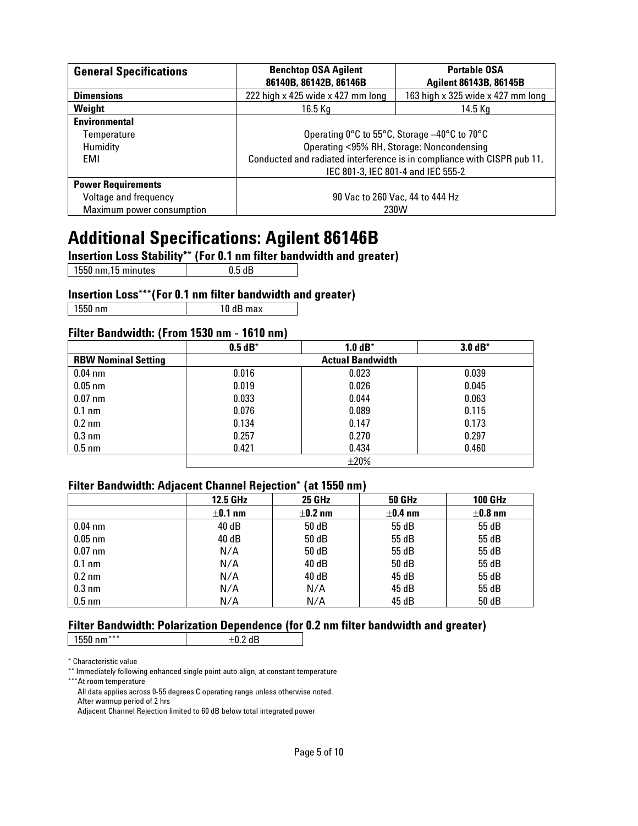| <b>General Specifications</b> | <b>Benchtop OSA Agilent</b><br><b>Portable OSA</b><br>86140B, 86142B, 86146B<br><b>Agilent 86143B, 86145B</b> |                                              |  |
|-------------------------------|---------------------------------------------------------------------------------------------------------------|----------------------------------------------|--|
| <b>Dimensions</b>             | 163 high x 325 wide x 427 mm long<br>222 high x 425 wide x 427 mm long                                        |                                              |  |
| Weight                        | $16.5$ Kg                                                                                                     | 14.5 Kg                                      |  |
| <b>Environmental</b>          |                                                                                                               |                                              |  |
| Temperature                   |                                                                                                               | Operating 0°C to 55°C, Storage -40°C to 70°C |  |
| <b>Humidity</b>               | Operating <95% RH, Storage: Noncondensing                                                                     |                                              |  |
| EMI                           | Conducted and radiated interference is in compliance with CISPR pub 11,                                       |                                              |  |
|                               | IEC 801-3, IEC 801-4 and IEC 555-2                                                                            |                                              |  |
| <b>Power Requirements</b>     |                                                                                                               |                                              |  |
| Voltage and frequency         | 90 Vac to 260 Vac, 44 to 444 Hz                                                                               |                                              |  |
| Maximum power consumption     | 230W                                                                                                          |                                              |  |

## **Additional Specifications: Agilent 86146B**

**Insertion Loss Stability\*\* (For 0.1 nm filter bandwidth and greater)**

1550 nm, 15 minutes | 0.5 dB

#### **Insertion Loss\*\*\*(For 0.1 nm filter bandwidth and greater)**

| 1550 nm | 10 dB max

### **Filter Bandwidth: (From 1530 nm - 1610 nm)**

|                            | $0.5 dB^*$              | $1.0 dB^*$ | $3.0 dB^*$ |  |
|----------------------------|-------------------------|------------|------------|--|
| <b>RBW Nominal Setting</b> | <b>Actual Bandwidth</b> |            |            |  |
| $0.04$ nm                  | 0.016                   | 0.023      | 0.039      |  |
| $0.05$ nm                  | 0.019                   | 0.026      | 0.045      |  |
| $0.07$ nm                  | 0.033                   | 0.044      | 0.063      |  |
| $0.1 \text{ nm}$           | 0.076                   | 0.089      | 0.115      |  |
| $0.2 \text{ nm}$           | 0.134                   | 0.147      | 0.173      |  |
| $0.3 \text{ nm}$           | 0.257                   | 0.270      | 0.297      |  |
| $0.5$ nm                   | 0.421                   | 0.434      | 0.460      |  |
|                            | $\pm 20\%$              |            |            |  |

#### **Filter Bandwidth: Adjacent Channel Rejection\* (at 1550 nm)**

|                  | <b>12.5 GHz</b> | <b>25 GHz</b> | <b>50 GHz</b> | <b>100 GHz</b> |
|------------------|-----------------|---------------|---------------|----------------|
|                  | $\pm 0.1$ nm    | $\pm$ 0.2 nm  | $±0.4$ nm     | $±0.8$ nm      |
| $0.04$ nm        | 40 dB           | 50 dB         | 55 dB         | 55 dB          |
| $0.05$ nm        | 40 dB           | 50 dB         | 55 dB         | 55 dB          |
| $0.07$ nm        | N/A             | 50 dB         | 55 dB         | 55 dB          |
| $0.1 \text{ nm}$ | N/A             | 40 dB         | 50 dB         | 55 dB          |
| $0.2 \text{ nm}$ | N/A             | 40 dB         | 45 dB         | 55 dB          |
| $0.3 \text{ nm}$ | N/A             | N/A           | 45 dB         | 55 dB          |
| $0.5$ nm         | N/A             | N/A           | 45 dB         | 50 dB          |

### **Filter Bandwidth: Polarization Dependence (for 0.2 nm filter bandwidth and greater)**

| 1550<br>$nm***$ |  |
|-----------------|--|
|                 |  |

\* Characteristic value

\*\* Immediately following enhanced single point auto align, at constant temperature

\*\*\*At room temperature

All data applies across 0-55 degrees C operating range unless otherwise noted.

After warmup period of 2 hrs

Adjacent Channel Rejection limited to 60 dB below total integrated power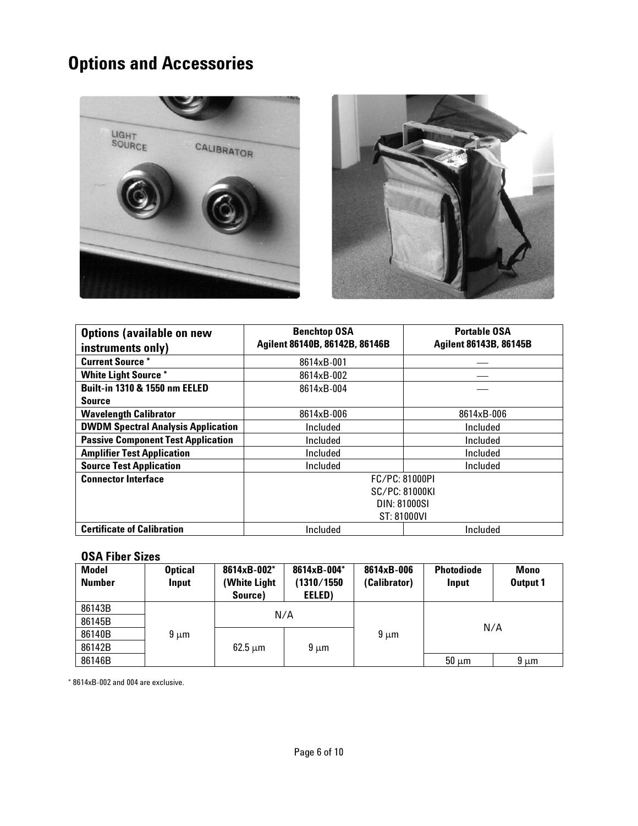# **Options and Accessories**





| <b>Options (available on new</b><br>instruments only) | <b>Benchtop OSA</b><br>Agilent 86140B, 86142B, 86146B | <b>Portable OSA</b><br><b>Agilent 86143B, 86145B</b> |  |
|-------------------------------------------------------|-------------------------------------------------------|------------------------------------------------------|--|
| <b>Current Source *</b>                               | 8614xB-001                                            |                                                      |  |
| <b>White Light Source *</b>                           | 8614xB-002                                            |                                                      |  |
| <b>Built-in 1310 &amp; 1550 nm EELED</b>              | 8614xB-004                                            |                                                      |  |
| <b>Source</b>                                         |                                                       |                                                      |  |
| <b>Wavelength Calibrator</b>                          | 8614xB-006                                            | 8614xB-006                                           |  |
| <b>DWDM Spectral Analysis Application</b>             | Included                                              | Included                                             |  |
| <b>Passive Component Test Application</b>             | Included                                              | Included                                             |  |
| <b>Amplifier Test Application</b>                     | Included                                              | Included                                             |  |
| <b>Source Test Application</b>                        | Included<br>Included                                  |                                                      |  |
| <b>Connector Interface</b>                            | FC/PC: 81000PI                                        |                                                      |  |
|                                                       | <b>SC/PC: 81000KI</b>                                 |                                                      |  |
|                                                       | DIN: 81000SI                                          |                                                      |  |
|                                                       | ST: 81000VI                                           |                                                      |  |
| <b>Certificate of Calibration</b>                     | Included<br>Included                                  |                                                      |  |

### **OSA Fiber Sizes**

| <b>Model</b><br><b>Number</b> | <b>Optical</b><br>Input | 8614xB-002*<br>(White Light)<br>Source) | 8614xB-004*<br>(1310/1550<br>EELED) | 8614xB-006<br>(Calibrator) | <b>Photodiode</b><br>Input | <b>Mono</b><br>Output 1 |
|-------------------------------|-------------------------|-----------------------------------------|-------------------------------------|----------------------------|----------------------------|-------------------------|
| 86143B                        |                         | N/A                                     |                                     |                            |                            |                         |
| 86145B                        |                         |                                         |                                     |                            | N/A                        |                         |
| 86140B                        | $9 \mu m$               |                                         |                                     | $9 \mu m$                  |                            |                         |
| 86142B                        |                         | $62.5 \mu m$                            | $9 \mu m$                           |                            |                            |                         |
| 86146B                        |                         |                                         |                                     |                            | $50 \mu m$                 | $9 \mu m$               |

\* 8614xB-002 and 004 are exclusive.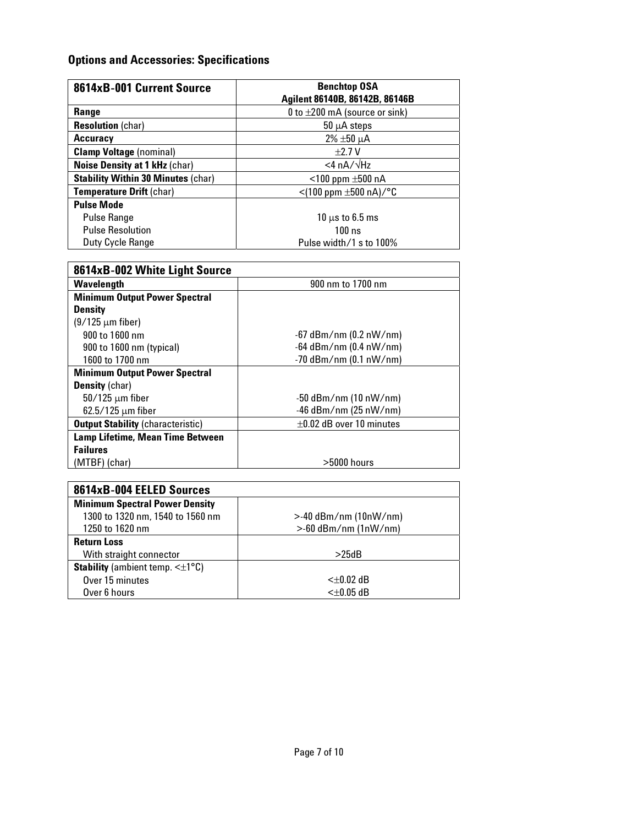### **Options and Accessories: Specifications**

| 8614xB-001 Current Source                 | <b>Benchtop OSA</b><br>Agilent 86140B, 86142B, 86146B |  |
|-------------------------------------------|-------------------------------------------------------|--|
| Range                                     | 0 to $\pm 200$ mA (source or sink)                    |  |
| <b>Resolution (char)</b>                  | $50 \mu A$ steps                                      |  |
| Accuracy                                  | $2\% \pm 50 \mu A$                                    |  |
| <b>Clamp Voltage (nominal)</b>            | $\pm 2.7$ V                                           |  |
| <b>Noise Density at 1 kHz (char)</b>      | $<$ 4 nA/ $\sqrt{Hz}$                                 |  |
| <b>Stability Within 30 Minutes (char)</b> | $<$ 100 ppm $\pm$ 500 nA                              |  |
| Temperature Drift (char)                  | $<$ (100 ppm $\pm$ 500 nA)/°C                         |  |
| <b>Pulse Mode</b>                         |                                                       |  |
| <b>Pulse Range</b>                        | $10 \mu s$ to 6.5 ms                                  |  |
| <b>Pulse Resolution</b>                   | 100ns                                                 |  |
| Duty Cycle Range                          | Pulse width/1 s to 100%                               |  |

| 8614xB-002 White Light Source            |                               |  |
|------------------------------------------|-------------------------------|--|
| Wavelength                               | 900 nm to 1700 nm             |  |
| <b>Minimum Output Power Spectral</b>     |                               |  |
| <b>Density</b>                           |                               |  |
| $(9/125 \mu m$ fiber)                    |                               |  |
| 900 to 1600 nm                           | $-67$ dBm/nm (0.2 nW/nm)      |  |
| 900 to 1600 nm (typical)                 | $-64$ dBm/nm (0.4 nW/nm)      |  |
| 1600 to 1700 nm                          | $-70$ dBm/nm (0.1 nW/nm)      |  |
| <b>Minimum Output Power Spectral</b>     |                               |  |
| <b>Density</b> (char)                    |                               |  |
| $50/125 \mu m$ fiber                     | $-50$ dBm/nm (10 nW/nm)       |  |
| $62.5/125 \mu m$ fiber                   | $-46$ dBm/nm (25 nW/nm)       |  |
| <b>Output Stability (characteristic)</b> | $\pm 0.02$ dB over 10 minutes |  |
| Lamp Lifetime, Mean Time Between         |                               |  |
| <b>Failures</b>                          |                               |  |
| (MTBF) (char)                            | $>5000$ hours                 |  |

| 8614xB-004 EELED Sources                                |                         |
|---------------------------------------------------------|-------------------------|
| <b>Minimum Spectral Power Density</b>                   |                         |
| 1300 to 1320 nm, 1540 to 1560 nm                        | $>40$ dBm/nm (10nW/nm)  |
| 1250 to 1620 nm                                         | $>$ -60 dBm/nm (1nW/nm) |
| <b>Return Loss</b>                                      |                         |
| With straight connector                                 | >25dB                   |
| <b>Stability</b> (ambient temp. $\leq \pm 1^{\circ}C$ ) |                         |
| Over 15 minutes                                         | <+0.02 dB               |
| Over 6 hours                                            | <±0.05 dB               |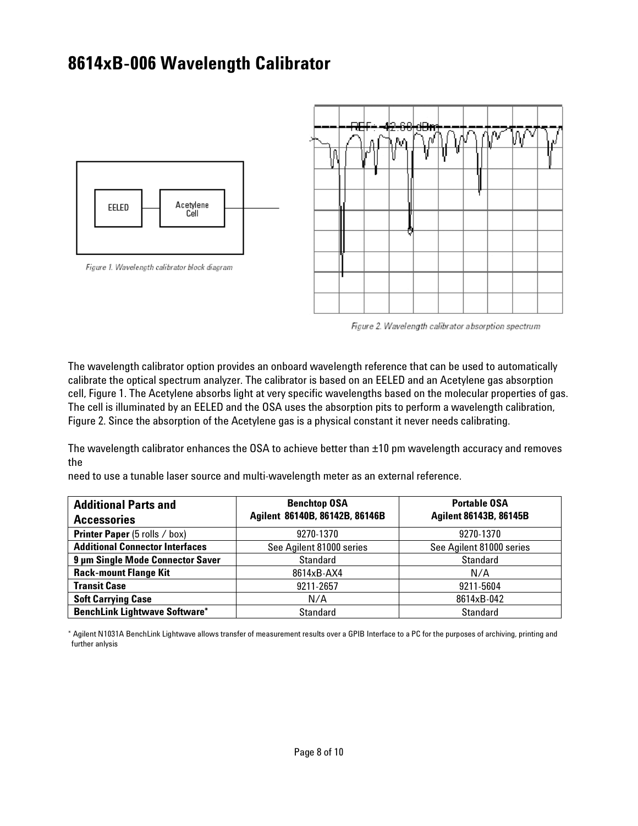## **8614xB-006 Wavelength Calibrator**







Figure 2. Wavelength calibrator absorption spectrum

The wavelength calibrator option provides an onboard wavelength reference that can be used to automatically calibrate the optical spectrum analyzer. The calibrator is based on an EELED and an Acetylene gas absorption cell, Figure 1. The Acetylene absorbs light at very specific wavelengths based on the molecular properties of gas. The cell is illuminated by an EELED and the OSA uses the absorption pits to perform a wavelength calibration, Figure 2. Since the absorption of the Acetylene gas is a physical constant it never needs calibrating.

The wavelength calibrator enhances the OSA to achieve better than ±10 pm wavelength accuracy and removes the

need to use a tunable laser source and multi-wavelength meter as an external reference.

| <b>Additional Parts and</b>            | <b>Benchtop OSA</b>            | <b>Portable OSA</b>           |
|----------------------------------------|--------------------------------|-------------------------------|
| <b>Accessories</b>                     | Agilent 86140B, 86142B, 86146B | <b>Agilent 86143B, 86145B</b> |
| <b>Printer Paper</b> (5 rolls / box)   | 9270-1370                      | 9270-1370                     |
| <b>Additional Connector Interfaces</b> | See Agilent 81000 series       | See Agilent 81000 series      |
| 9 µm Single Mode Connector Saver       | <b>Standard</b>                | <b>Standard</b>               |
| <b>Rack-mount Flange Kit</b>           | 8614xB-AX4                     | N/A                           |
| <b>Transit Case</b>                    | 9211-2657                      | 9211-5604                     |
| <b>Soft Carrying Case</b>              | N/A                            | 8614xB-042                    |
| <b>BenchLink Lightwave Software*</b>   | <b>Standard</b>                | <b>Standard</b>               |

\* Agilent N1031A BenchLink Lightwave allows transfer of measurement results over a GPIB Interface to a PC for the purposes of archiving, printing and further anlysis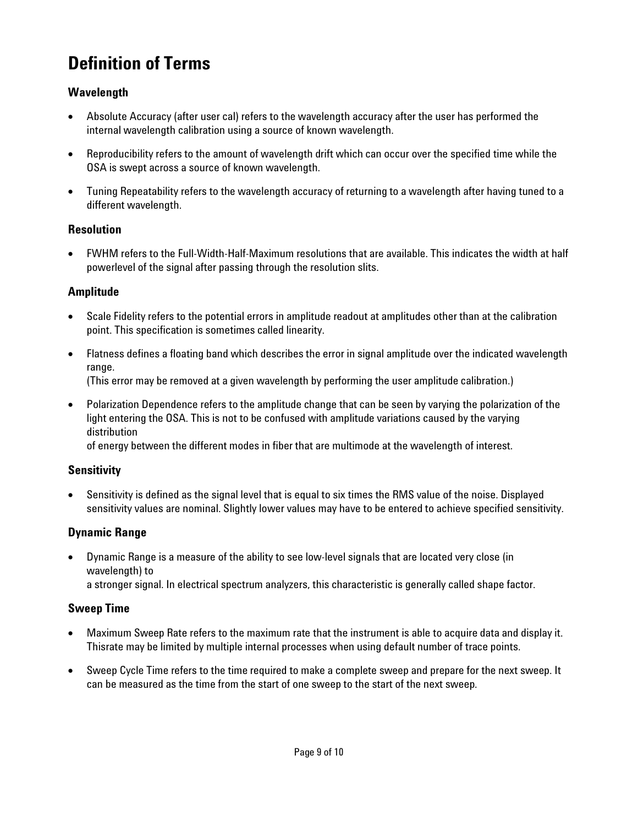# **Definition of Terms**

### **Wavelength**

- Absolute Accuracy (after user cal) refers to the wavelength accuracy after the user has performed the internal wavelength calibration using a source of known wavelength.
- Reproducibility refers to the amount of wavelength drift which can occur over the specified time while the OSA is swept across a source of known wavelength.
- Tuning Repeatability refers to the wavelength accuracy of returning to a wavelength after having tuned to a different wavelength.

### **Resolution**

 FWHM refers to the Full-Width-Half-Maximum resolutions that are available. This indicates the width at half powerlevel of the signal after passing through the resolution slits.

### **Amplitude**

- Scale Fidelity refers to the potential errors in amplitude readout at amplitudes other than at the calibration point. This specification is sometimes called linearity.
- Flatness defines a floating band which describes the error in signal amplitude over the indicated wavelength range.

(This error may be removed at a given wavelength by performing the user amplitude calibration.)

 Polarization Dependence refers to the amplitude change that can be seen by varying the polarization of the light entering the OSA. This is not to be confused with amplitude variations caused by the varying distribution

of energy between the different modes in fiber that are multimode at the wavelength of interest.

### **Sensitivity**

 Sensitivity is defined as the signal level that is equal to six times the RMS value of the noise. Displayed sensitivity values are nominal. Slightly lower values may have to be entered to achieve specified sensitivity.

### **Dynamic Range**

 Dynamic Range is a measure of the ability to see low-level signals that are located very close (in wavelength) to a stronger signal. In electrical spectrum analyzers, this characteristic is generally called shape factor.

### **Sweep Time**

- Maximum Sweep Rate refers to the maximum rate that the instrument is able to acquire data and display it. Thisrate may be limited by multiple internal processes when using default number of trace points.
- Sweep Cycle Time refers to the time required to make a complete sweep and prepare for the next sweep. It can be measured as the time from the start of one sweep to the start of the next sweep.